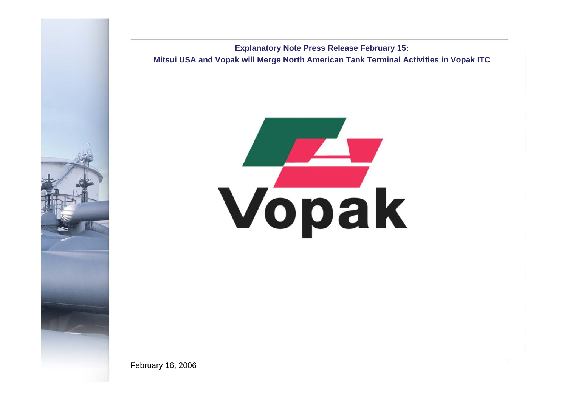

**Explanatory Note Press Release February 15: Mitsui USA and Vopak will Merge North American Tank Terminal Activities in Vopak ITC**

# Vopak

February 16, 2006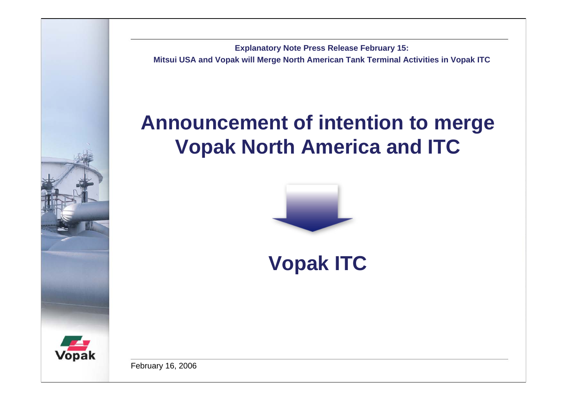**Explanatory Note Press Release February 15: Mitsui USA and Vopak will Merge North American Tank Terminal Activities in Vopak ITC**

# **Announcement of intention to merge Vopak North America and ITC**



**Vopak ITC**



February 16, 2006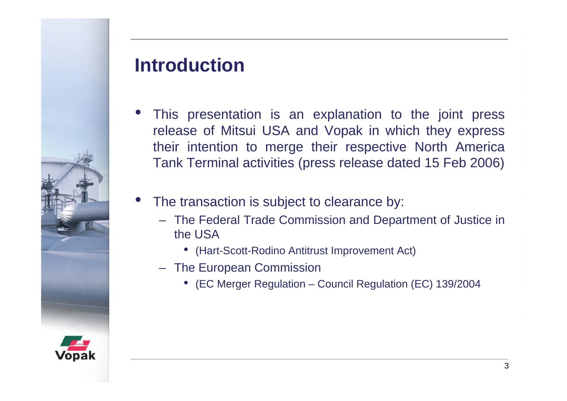

#### **Introduction**

- • This presentation is an explanation to the joint press release of Mitsui USA and Vopak in which they express their intention to merge their respective North America Tank Terminal activities (press release dated 15 Feb 2006)
- • The transaction is subject to clearance by:
	- The Federal Trade Commission and Department of Justice in the USA
		- (Hart-Scott-Rodino Antitrust Improvement Act)
	- The European Commission
		- (EC Merger Regulation Council Regulation (EC) 139/2004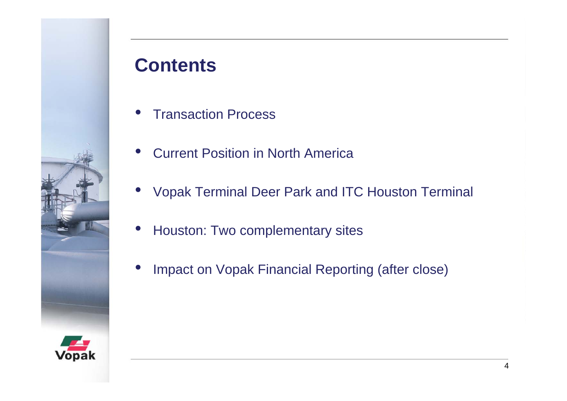

## **Contents**

- •**• Transaction Process**
- •Current Position in North America
- Vopak Terminal Deer Park and ITC Houston Terminal
- $\bullet$ Houston: Two complementary sites
- •Impact on Vopak Financial Reporting (after close)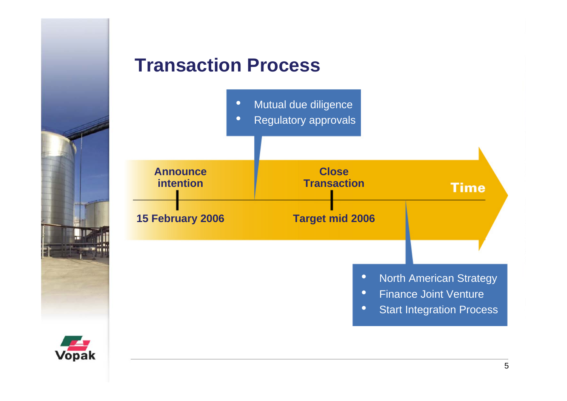



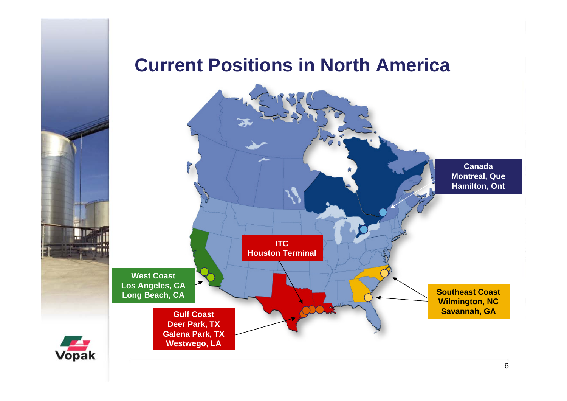### **Current Positions in North America**



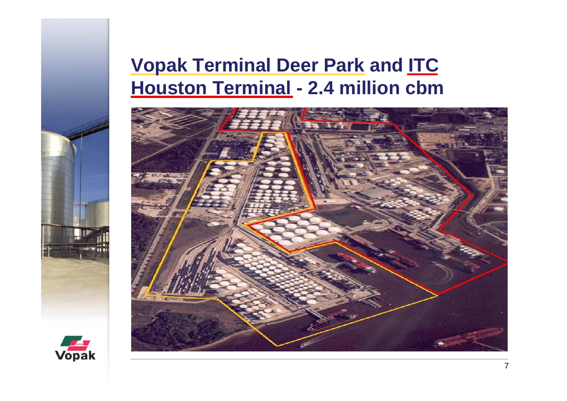# **Vopak Terminal Deer Park and ITC Houston Terminal - 2.4 million cbm**



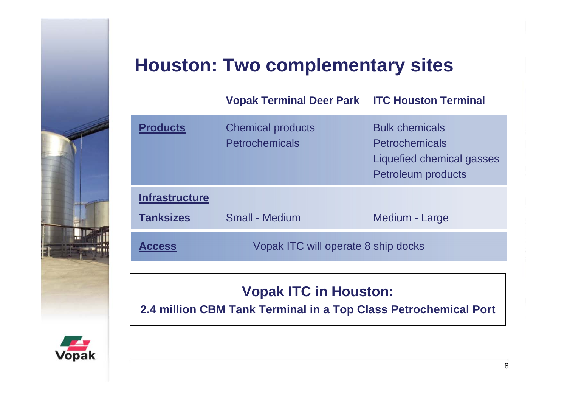### **Houston: Two complementary sites**

|                                           | <b>Vopak Terminal Deer Park ITC Houston Terminal</b> |                                                                                                          |
|-------------------------------------------|------------------------------------------------------|----------------------------------------------------------------------------------------------------------|
| <b>Products</b>                           | <b>Chemical products</b><br><b>Petrochemicals</b>    | <b>Bulk chemicals</b><br><b>Petrochemicals</b><br>Liquefied chemical gasses<br><b>Petroleum products</b> |
| <b>Infrastructure</b><br><b>Tanksizes</b> | <b>Small - Medium</b>                                | Medium - Large                                                                                           |
| <b>Access</b>                             | Vopak ITC will operate 8 ship docks                  |                                                                                                          |
| <b>Vopak ITC in Houston:</b>              |                                                      |                                                                                                          |

**2.4 million CBM Tank Terminal in a Top Class Petrochemical Port**

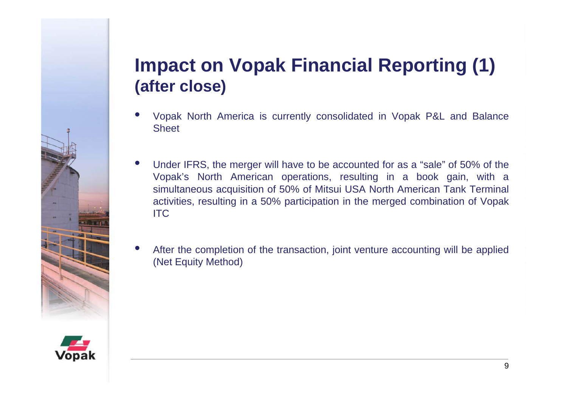## **Impact on Vopak Financial Reporting (1) (after close)**

- • Vopak North America is currently consolidated in Vopak P&L and Balance **Sheet**
- **IDED** Under IFRS, the merger will have to be accounted for as a "sale" of 50% of the •Vopak's North American operations, resulting in a book gain, with a simultaneous acquisition of 50% of Mitsui USA North American Tank Terminal activities, resulting in a 50% participation in the merged combination of Vopak **ITC**
- • After the completion of the transaction, joint venture accounting will be applied (Net Equity Method)